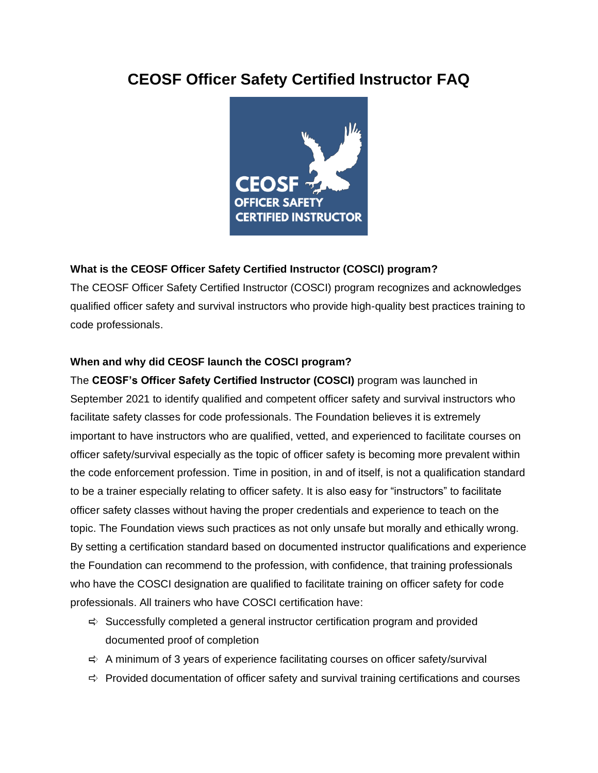# **CEOSF Officer Safety Certified Instructor FAQ**



# **What is the CEOSF Officer Safety Certified Instructor (COSCI) program?**

The CEOSF Officer Safety Certified Instructor (COSCI) program recognizes and acknowledges qualified officer safety and survival instructors who provide high-quality best practices training to code professionals.

# **When and why did CEOSF launch the COSCI program?**

The **CEOSF's Officer Safety Certified Instructor (COSCI)** program was launched in September 2021 to identify qualified and competent officer safety and survival instructors who facilitate safety classes for code professionals. The Foundation believes it is extremely important to have instructors who are qualified, vetted, and experienced to facilitate courses on officer safety/survival especially as the topic of officer safety is becoming more prevalent within the code enforcement profession. Time in position, in and of itself, is not a qualification standard to be a trainer especially relating to officer safety. It is also easy for "instructors" to facilitate officer safety classes without having the proper credentials and experience to teach on the topic. The Foundation views such practices as not only unsafe but morally and ethically wrong. By setting a certification standard based on documented instructor qualifications and experience the Foundation can recommend to the profession, with confidence, that training professionals who have the COSCI designation are qualified to facilitate training on officer safety for code professionals. All trainers who have COSCI certification have:

- $\Rightarrow$  Successfully completed a general instructor certification program and provided documented proof of completion
- $\Rightarrow$  A minimum of 3 years of experience facilitating courses on officer safety/survival
- $\Rightarrow$  Provided documentation of officer safety and survival training certifications and courses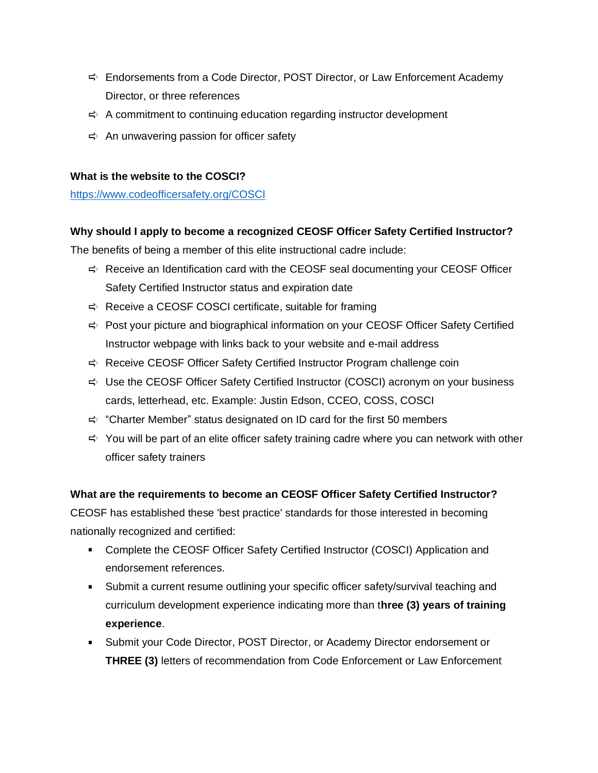- $\Rightarrow$  Endorsements from a Code Director, POST Director, or Law Enforcement Academy Director, or three references
- $\Rightarrow$  A commitment to continuing education regarding instructor development
- $\Rightarrow$  An unwavering passion for officer safety

## **What is the website to the COSCI?**

<https://www.codeofficersafety.org/COSCI>

## **Why should I apply to become a recognized CEOSF Officer Safety Certified Instructor?**

The benefits of being a member of this elite instructional cadre include:

- $\Rightarrow$  Receive an Identification card with the CEOSF seal documenting your CEOSF Officer Safety Certified Instructor status and expiration date
- $\Rightarrow$  Receive a CEOSF COSCI certificate, suitable for framing
- $\Rightarrow$  Post your picture and biographical information on your CEOSF Officer Safety Certified Instructor webpage with links back to your website and e-mail address
- $\Rightarrow$  Receive CEOSF Officer Safety Certified Instructor Program challenge coin
- $\Rightarrow$  Use the CEOSF Officer Safety Certified Instructor (COSCI) acronym on your business cards, letterhead, etc. Example: Justin Edson, CCEO, COSS, COSCI
- $\Rightarrow$  "Charter Member" status designated on ID card for the first 50 members
- $\Rightarrow$  You will be part of an elite officer safety training cadre where you can network with other officer safety trainers

# **What are the requirements to become an CEOSF Officer Safety Certified Instructor?**

CEOSF has established these 'best practice' standards for those interested in becoming nationally recognized and certified:

- Complete the CEOSF Officer Safety Certified Instructor (COSCI) Application and endorsement references.
- Submit a current resume outlining your specific officer safety/survival teaching and curriculum development experience indicating more than t**hree (3) years of training experience**.
- Submit your Code Director, POST Director, or Academy Director endorsement or **THREE (3)** letters of recommendation from Code Enforcement or Law Enforcement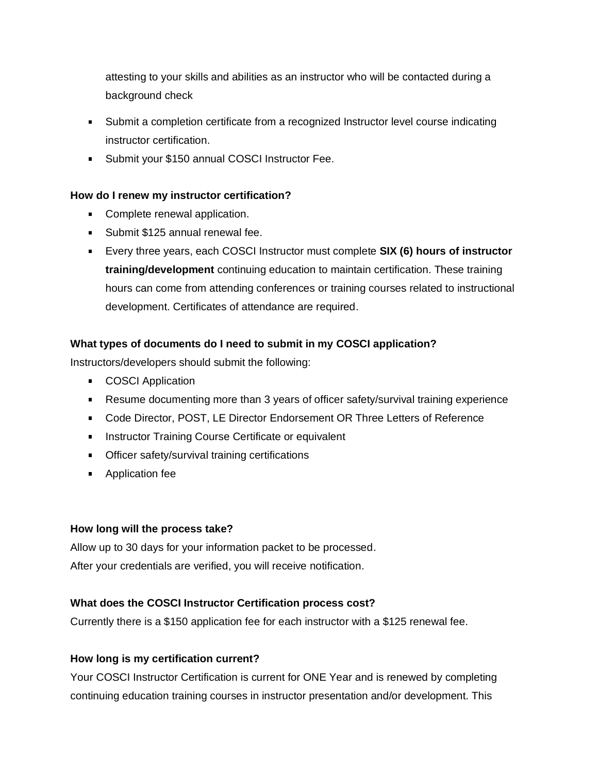attesting to your skills and abilities as an instructor who will be contacted during a background check

- Submit a completion certificate from a recognized Instructor level course indicating instructor certification.
- **Submit your \$150 annual COSCI Instructor Fee.**

# **How do I renew my instructor certification?**

- Complete renewal application.
- **Submit \$125 annual renewal fee.**
- Every three years, each COSCI Instructor must complete **SIX (6) hours of instructor training/development** continuing education to maintain certification. These training hours can come from attending conferences or training courses related to instructional development. Certificates of attendance are required.

## **What types of documents do I need to submit in my COSCI application?**

Instructors/developers should submit the following:

- **COSCI Application**
- Resume documenting more than 3 years of officer safety/survival training experience
- Code Director, POST, LE Director Endorsement OR Three Letters of Reference
- **Instructor Training Course Certificate or equivalent**
- **•** Officer safety/survival training certifications
- **Application fee**

## **How long will the process take?**

Allow up to 30 days for your information packet to be processed. After your credentials are verified, you will receive notification.

## **What does the COSCI Instructor Certification process cost?**

Currently there is a \$150 application fee for each instructor with a \$125 renewal fee.

## **How long is my certification current?**

Your COSCI Instructor Certification is current for ONE Year and is renewed by completing continuing education training courses in instructor presentation and/or development. This